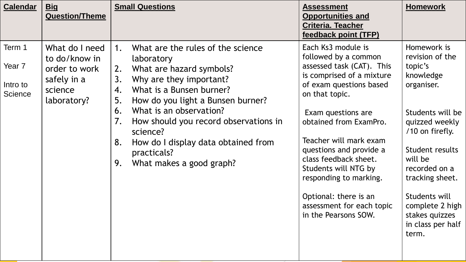| <b>Calendar</b>                         | <b>Big</b><br><b>Question/Theme</b>                                                       | <b>Small Questions</b>                                                                                                                                                                                                                                                                                                                                                                          | <b>Assessment</b><br><b>Opportunities and</b><br><b>Criteria. Teacher</b><br>feedback point (TFP)                                                                                                                                                                                                                                                                                                               | <b>Homework</b>                                                                                                                                                                                                                                                                     |
|-----------------------------------------|-------------------------------------------------------------------------------------------|-------------------------------------------------------------------------------------------------------------------------------------------------------------------------------------------------------------------------------------------------------------------------------------------------------------------------------------------------------------------------------------------------|-----------------------------------------------------------------------------------------------------------------------------------------------------------------------------------------------------------------------------------------------------------------------------------------------------------------------------------------------------------------------------------------------------------------|-------------------------------------------------------------------------------------------------------------------------------------------------------------------------------------------------------------------------------------------------------------------------------------|
| Term 1<br>Year 7<br>Intro to<br>Science | What do I need<br>to do/know in<br>order to work<br>safely in a<br>science<br>laboratory? | What are the rules of the science<br>1.<br>laboratory<br>What are hazard symbols?<br>2.<br>3.<br>Why are they important?<br>What is a Bunsen burner?<br>4.<br>5.<br>How do you light a Bunsen burner?<br>What is an observation?<br>6.<br>7.<br>How should you record observations in<br>science?<br>How do I display data obtained from<br>8.<br>practicals?<br>What makes a good graph?<br>9. | Each Ks3 module is<br>followed by a common<br>assessed task (CAT). This<br>is comprised of a mixture<br>of exam questions based<br>on that topic.<br>Exam questions are<br>obtained from ExamPro.<br>Teacher will mark exam<br>questions and provide a<br>class feedback sheet.<br>Students will NTG by<br>responding to marking.<br>Optional: there is an<br>assessment for each topic<br>in the Pearsons SOW. | Homework is<br>revision of the<br>topic's<br>knowledge<br>organiser.<br>Students will be<br>quizzed weekly<br>/10 on firefly.<br>Student results<br>will be<br>recorded on a<br>tracking sheet.<br>Students will<br>complete 2 high<br>stakes quizzes<br>in class per half<br>term. |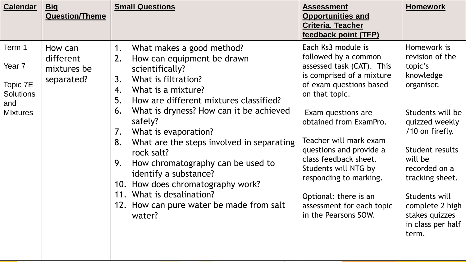| <b>Calendar</b>                                                            | <b>Big</b><br><b>Question/Theme</b>               | <b>Small Questions</b>                                                                                                                                                                                                                                                                                                                                                                                                                                                                                                                                 | <b>Assessment</b><br><b>Opportunities and</b><br><b>Criteria. Teacher</b><br>feedback point (TFP)                                                                                                                                                                                                                                                                                                               | <b>Homework</b>                                                                                                                                                                                                                                                                     |
|----------------------------------------------------------------------------|---------------------------------------------------|--------------------------------------------------------------------------------------------------------------------------------------------------------------------------------------------------------------------------------------------------------------------------------------------------------------------------------------------------------------------------------------------------------------------------------------------------------------------------------------------------------------------------------------------------------|-----------------------------------------------------------------------------------------------------------------------------------------------------------------------------------------------------------------------------------------------------------------------------------------------------------------------------------------------------------------------------------------------------------------|-------------------------------------------------------------------------------------------------------------------------------------------------------------------------------------------------------------------------------------------------------------------------------------|
| Term 1<br>Year 7<br>Topic 7E<br><b>Solutions</b><br>and<br><b>MIxtures</b> | How can<br>different<br>mixtures be<br>separated? | What makes a good method?<br>1.<br>How can equipment be drawn<br>2.<br>scientifically?<br>What is filtration?<br>3.<br>What is a mixture?<br>4.<br>How are different mixtures classified?<br>5.<br>What is dryness? How can it be achieved<br>6.<br>safely?<br>What is evaporation?<br>7.<br>What are the steps involved in separating<br>8.<br>rock salt?<br>How chromatography can be used to<br>9.<br>identify a substance?<br>10. How does chromatography work?<br>11. What is desalination?<br>12. How can pure water be made from salt<br>water? | Each Ks3 module is<br>followed by a common<br>assessed task (CAT). This<br>is comprised of a mixture<br>of exam questions based<br>on that topic.<br>Exam questions are<br>obtained from ExamPro.<br>Teacher will mark exam<br>questions and provide a<br>class feedback sheet.<br>Students will NTG by<br>responding to marking.<br>Optional: there is an<br>assessment for each topic<br>in the Pearsons SOW. | Homework is<br>revision of the<br>topic's<br>knowledge<br>organiser.<br>Students will be<br>quizzed weekly<br>/10 on firefly.<br>Student results<br>will be<br>recorded on a<br>tracking sheet.<br>Students will<br>complete 2 high<br>stakes quizzes<br>in class per half<br>term. |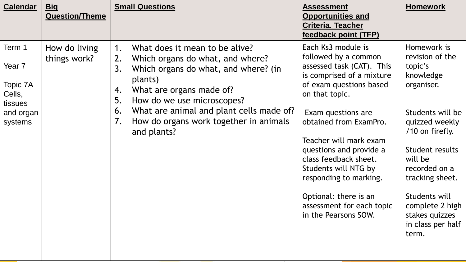| <b>Calendar</b>                                                           | <b>Big</b><br><b>Question/Theme</b> | <b>Small Questions</b>                                                                                                                                                                                                                                                                                                         | <b>Assessment</b><br><b>Opportunities and</b><br><b>Criteria. Teacher</b><br>feedback point (TFP)                                                                                                                                                                                                                                                                                                               | <b>Homework</b>                                                                                                                                                                                                                                                                     |
|---------------------------------------------------------------------------|-------------------------------------|--------------------------------------------------------------------------------------------------------------------------------------------------------------------------------------------------------------------------------------------------------------------------------------------------------------------------------|-----------------------------------------------------------------------------------------------------------------------------------------------------------------------------------------------------------------------------------------------------------------------------------------------------------------------------------------------------------------------------------------------------------------|-------------------------------------------------------------------------------------------------------------------------------------------------------------------------------------------------------------------------------------------------------------------------------------|
| Term 1<br>Year 7<br>Topic 7A<br>Cells,<br>tissues<br>and organ<br>systems | How do living<br>things work?       | What does it mean to be alive?<br>1.<br>Which organs do what, and where?<br>2.<br>Which organs do what, and where? (in<br>3.<br>plants)<br>What are organs made of?<br>4.<br>5.<br>How do we use microscopes?<br>What are animal and plant cells made of?<br>6.<br>How do organs work together in animals<br>7.<br>and plants? | Each Ks3 module is<br>followed by a common<br>assessed task (CAT). This<br>is comprised of a mixture<br>of exam questions based<br>on that topic.<br>Exam questions are<br>obtained from ExamPro.<br>Teacher will mark exam<br>questions and provide a<br>class feedback sheet.<br>Students will NTG by<br>responding to marking.<br>Optional: there is an<br>assessment for each topic<br>in the Pearsons SOW. | Homework is<br>revision of the<br>topic's<br>knowledge<br>organiser.<br>Students will be<br>quizzed weekly<br>/10 on firefly.<br>Student results<br>will be<br>recorded on a<br>tracking sheet.<br>Students will<br>complete 2 high<br>stakes quizzes<br>in class per half<br>term. |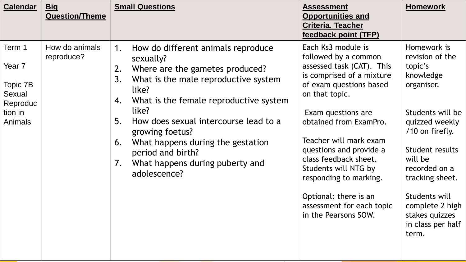| <b>Calendar</b>                                                                     | <b>Big</b><br><b>Question/Theme</b> | <b>Small Questions</b>                                                                                                                                                                                                                                                                                                                                                                                    | <b>Assessment</b><br><b>Opportunities and</b><br><b>Criteria. Teacher</b><br>feedback point (TFP)                                                                                                                                                                                                                                                                                                               | <b>Homework</b>                                                                                                                                                                                                                                                                     |
|-------------------------------------------------------------------------------------|-------------------------------------|-----------------------------------------------------------------------------------------------------------------------------------------------------------------------------------------------------------------------------------------------------------------------------------------------------------------------------------------------------------------------------------------------------------|-----------------------------------------------------------------------------------------------------------------------------------------------------------------------------------------------------------------------------------------------------------------------------------------------------------------------------------------------------------------------------------------------------------------|-------------------------------------------------------------------------------------------------------------------------------------------------------------------------------------------------------------------------------------------------------------------------------------|
| Term 1<br>Year <sub>7</sub><br>Topic 7B<br>Sexual<br>Reproduc<br>tion in<br>Animals | How do animals<br>reproduce?        | How do different animals reproduce<br>1.<br>sexually?<br>Where are the gametes produced?<br>2.<br>What is the male reproductive system<br>3.<br>like?<br>What is the female reproductive system<br>4.<br>like?<br>5.<br>How does sexual intercourse lead to a<br>growing foetus?<br>What happens during the gestation<br>6.<br>period and birth?<br>What happens during puberty and<br>7.<br>adolescence? | Each Ks3 module is<br>followed by a common<br>assessed task (CAT). This<br>is comprised of a mixture<br>of exam questions based<br>on that topic.<br>Exam questions are<br>obtained from ExamPro.<br>Teacher will mark exam<br>questions and provide a<br>class feedback sheet.<br>Students will NTG by<br>responding to marking.<br>Optional: there is an<br>assessment for each topic<br>in the Pearsons SOW. | Homework is<br>revision of the<br>topic's<br>knowledge<br>organiser.<br>Students will be<br>quizzed weekly<br>/10 on firefly.<br>Student results<br>will be<br>recorded on a<br>tracking sheet.<br>Students will<br>complete 2 high<br>stakes quizzes<br>in class per half<br>term. |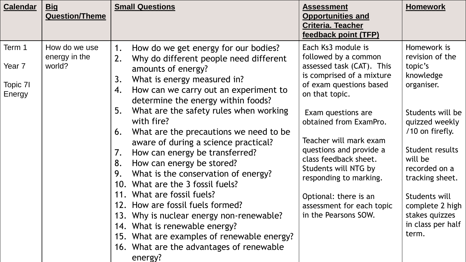| <b>Calendar</b>   | <u>Big</u><br><b>Question/Theme</b> | <b>Small Questions</b>                                                                     | <b>Assessment</b><br><b>Opportunities and</b><br><b>Criteria. Teacher</b><br>feedback point (TFP) | <b>Homework</b>                    |
|-------------------|-------------------------------------|--------------------------------------------------------------------------------------------|---------------------------------------------------------------------------------------------------|------------------------------------|
| Term 1            | How do we use<br>energy in the      | How do we get energy for our bodies?<br>1.<br>Why do different people need different<br>2. | Each Ks3 module is<br>followed by a common                                                        | Homework is<br>revision of the     |
| Year <sub>7</sub> | world?                              | amounts of energy?                                                                         | assessed task (CAT). This                                                                         | topic's                            |
| Topic 71          |                                     | What is energy measured in?<br>3.                                                          | is comprised of a mixture<br>of exam questions based                                              | knowledge<br>organiser.            |
| Energy            |                                     | How can we carry out an experiment to<br>4.<br>determine the energy within foods?          | on that topic.                                                                                    |                                    |
|                   |                                     | What are the safety rules when working<br>5.<br>with fire?                                 | Exam questions are<br>obtained from ExamPro.                                                      | Students will be<br>quizzed weekly |
|                   |                                     | What are the precautions we need to be<br>6.                                               |                                                                                                   | /10 on firefly.                    |
|                   |                                     | aware of during a science practical?                                                       | Teacher will mark exam<br>questions and provide a                                                 | Student results                    |
|                   |                                     | How can energy be transferred?<br>7.<br>8.<br>How can energy be stored?                    | class feedback sheet.                                                                             | will be                            |
|                   |                                     | What is the conservation of energy?<br>9.                                                  | Students will NTG by                                                                              | recorded on a                      |
|                   |                                     | 10. What are the 3 fossil fuels?                                                           | responding to marking.                                                                            | tracking sheet.                    |
|                   |                                     | 11. What are fossil fuels?                                                                 | Optional: there is an                                                                             | Students will                      |
|                   |                                     | 12. How are fossil fuels formed?                                                           | assessment for each topic<br>in the Pearsons SOW.                                                 | complete 2 high<br>stakes quizzes  |
|                   |                                     | 13. Why is nuclear energy non-renewable?<br>14. What is renewable energy?                  |                                                                                                   | in class per half                  |
|                   |                                     | 15. What are examples of renewable energy?                                                 |                                                                                                   | term.                              |
|                   |                                     | 16. What are the advantages of renewable<br>energy?                                        |                                                                                                   |                                    |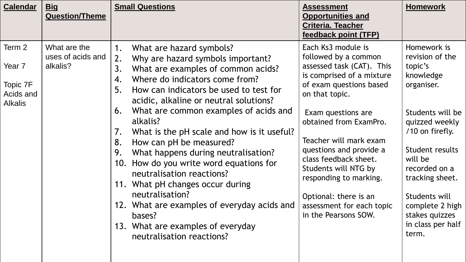| <b>Calendar</b>                                             | <u>Big</u><br><b>Question/Theme</b>           | <b>Small Questions</b>                                                                                                                                                                                                                                                                                                                                                                                                                                                                                                                                                                                                                                                                                         | <b>Assessment</b><br><b>Opportunities and</b><br><b>Criteria. Teacher</b><br>feedback point (TFP)                                                                                                                                                                                                                                                                                                               | <b>Homework</b>                                                                                                                                                                                                                                                                     |
|-------------------------------------------------------------|-----------------------------------------------|----------------------------------------------------------------------------------------------------------------------------------------------------------------------------------------------------------------------------------------------------------------------------------------------------------------------------------------------------------------------------------------------------------------------------------------------------------------------------------------------------------------------------------------------------------------------------------------------------------------------------------------------------------------------------------------------------------------|-----------------------------------------------------------------------------------------------------------------------------------------------------------------------------------------------------------------------------------------------------------------------------------------------------------------------------------------------------------------------------------------------------------------|-------------------------------------------------------------------------------------------------------------------------------------------------------------------------------------------------------------------------------------------------------------------------------------|
| Term 2<br>Year 7<br>Topic 7F<br>Acids and<br><b>Alkalis</b> | What are the<br>uses of acids and<br>alkalis? | What are hazard symbols?<br>1.<br>Why are hazard symbols important?<br>2.<br>What are examples of common acids?<br>3.<br>Where do indicators come from?<br>4.<br>5.<br>How can indicators be used to test for<br>acidic, alkaline or neutral solutions?<br>What are common examples of acids and<br>6.<br>alkalis?<br>What is the pH scale and how is it useful?<br>7.<br>How can pH be measured?<br>8.<br>What happens during neutralisation?<br>9.<br>10. How do you write word equations for<br>neutralisation reactions?<br>11. What pH changes occur during<br>neutralisation?<br>12. What are examples of everyday acids and<br>bases?<br>13. What are examples of everyday<br>neutralisation reactions? | Each Ks3 module is<br>followed by a common<br>assessed task (CAT). This<br>is comprised of a mixture<br>of exam questions based<br>on that topic.<br>Exam questions are<br>obtained from ExamPro.<br>Teacher will mark exam<br>questions and provide a<br>class feedback sheet.<br>Students will NTG by<br>responding to marking.<br>Optional: there is an<br>assessment for each topic<br>in the Pearsons SOW. | Homework is<br>revision of the<br>topic's<br>knowledge<br>organiser.<br>Students will be<br>quizzed weekly<br>/10 on firefly.<br>Student results<br>will be<br>recorded on a<br>tracking sheet.<br>Students will<br>complete 2 high<br>stakes quizzes<br>in class per half<br>term. |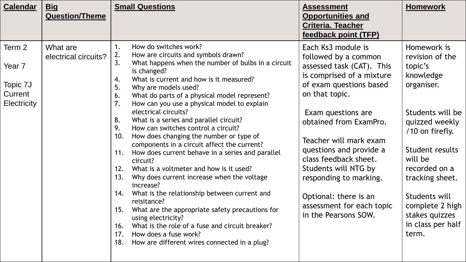| <b>Calendar</b>                                               | <u>Big</u><br><b>Question/Theme</b> | <b>Small Questions</b>                                                                                                                                                                                                                                                                                                                                                                                                                                                                                                                                                                                                                                                                                                                                                                                                                                                                                                                                                                                                                                          | <b>Assessment</b><br><b>Opportunities and</b><br><b>Criteria. Teacher</b><br>feedback point (TFP)                                                                                                                                                                                                                                                                                                               | <b>Homework</b>                                                                                                                                                                                                                                                                     |
|---------------------------------------------------------------|-------------------------------------|-----------------------------------------------------------------------------------------------------------------------------------------------------------------------------------------------------------------------------------------------------------------------------------------------------------------------------------------------------------------------------------------------------------------------------------------------------------------------------------------------------------------------------------------------------------------------------------------------------------------------------------------------------------------------------------------------------------------------------------------------------------------------------------------------------------------------------------------------------------------------------------------------------------------------------------------------------------------------------------------------------------------------------------------------------------------|-----------------------------------------------------------------------------------------------------------------------------------------------------------------------------------------------------------------------------------------------------------------------------------------------------------------------------------------------------------------------------------------------------------------|-------------------------------------------------------------------------------------------------------------------------------------------------------------------------------------------------------------------------------------------------------------------------------------|
| Term 2<br>Year 7<br>Topic 7J<br>Current<br><b>Electricity</b> | What are<br>electrical circuits?    | How do switches work?<br>1.<br>How are circuits and symbols drawn?<br>2.<br>What happens when the number of bulbs in a circuit<br>3.<br>is changed?<br>What is current and how is it measured?<br>4.<br>5.<br>Why are models used?<br>What do parts of a physical model represent?<br>6.<br>7.<br>How can you use a physical model to explain<br>electrical circuits?<br>8.<br>What is a series and parallel circuit?<br>How can switches control a circuit?<br>9.<br>How does changing the number or type of<br>10.<br>components in a circuit affect the current?<br>How does current behave in a series and parallel<br>11.<br>circuit?<br>What is a voltmeter and how is it used?<br>12.<br>Why does current increase when the voltage<br>13.<br>increase?<br>What is the relationship between current and<br>14.<br>reisitance?<br>What are the appropriate safety precautions for<br>15.<br>using electricity?<br>16. What is the role of a fuse and circuit breaker?<br>17.<br>How does a fuse work?<br>18. How are different wires connected in a plug? | Each Ks3 module is<br>followed by a common<br>assessed task (CAT). This<br>is comprised of a mixture<br>of exam questions based<br>on that topic.<br>Exam questions are<br>obtained from ExamPro.<br>Teacher will mark exam<br>questions and provide a<br>class feedback sheet.<br>Students will NTG by<br>responding to marking.<br>Optional: there is an<br>assessment for each topic<br>in the Pearsons SOW. | Homework is<br>revision of the<br>topic's<br>knowledge<br>organiser.<br>Students will be<br>quizzed weekly<br>/10 on firefly.<br>Student results<br>will be<br>recorded on a<br>tracking sheet.<br>Students will<br>complete 2 high<br>stakes quizzes<br>in class per half<br>term. |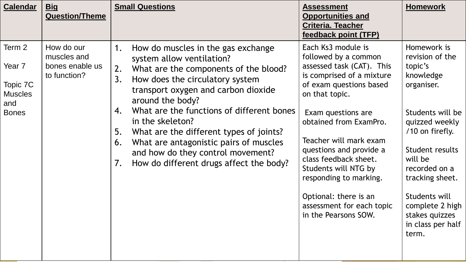| <b>Calendar</b>                                                       | <b>Big</b><br><b>Question/Theme</b>                          | <b>Small Questions</b>                                                                                                                                                                                                                                                                                                                                                                                                                                                                 | <b>Assessment</b><br><b>Opportunities and</b><br><b>Criteria. Teacher</b><br>feedback point (TFP)                                                                                                                                                                                                                                                                                                               | <b>Homework</b>                                                                                                                                                                                                                                                                     |
|-----------------------------------------------------------------------|--------------------------------------------------------------|----------------------------------------------------------------------------------------------------------------------------------------------------------------------------------------------------------------------------------------------------------------------------------------------------------------------------------------------------------------------------------------------------------------------------------------------------------------------------------------|-----------------------------------------------------------------------------------------------------------------------------------------------------------------------------------------------------------------------------------------------------------------------------------------------------------------------------------------------------------------------------------------------------------------|-------------------------------------------------------------------------------------------------------------------------------------------------------------------------------------------------------------------------------------------------------------------------------------|
| Term 2<br>Year 7<br>Topic 7C<br><b>Muscles</b><br>and<br><b>Bones</b> | How do our<br>muscles and<br>bones enable us<br>to function? | How do muscles in the gas exchange<br>1.<br>system allow ventilation?<br>2.<br>What are the components of the blood?<br>3.<br>How does the circulatory system<br>transport oxygen and carbon dioxide<br>around the body?<br>What are the functions of different bones<br>4.<br>in the skeleton?<br>5.<br>What are the different types of joints?<br>What are antagonistic pairs of muscles<br>6.<br>and how do they control movement?<br>How do different drugs affect the body?<br>7. | Each Ks3 module is<br>followed by a common<br>assessed task (CAT). This<br>is comprised of a mixture<br>of exam questions based<br>on that topic.<br>Exam questions are<br>obtained from ExamPro.<br>Teacher will mark exam<br>questions and provide a<br>class feedback sheet.<br>Students will NTG by<br>responding to marking.<br>Optional: there is an<br>assessment for each topic<br>in the Pearsons SOW. | Homework is<br>revision of the<br>topic's<br>knowledge<br>organiser.<br>Students will be<br>quizzed weekly<br>/10 on firefly.<br>Student results<br>will be<br>recorded on a<br>tracking sheet.<br>Students will<br>complete 2 high<br>stakes quizzes<br>in class per half<br>term. |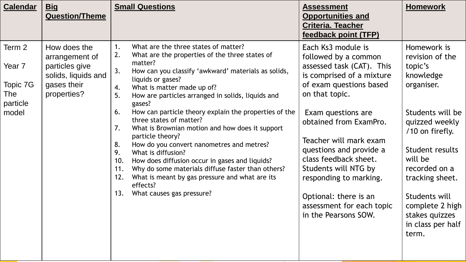| <b>Calendar</b>                                                 | <u>Big</u><br><b>Question/Theme</b>                                                                   | <b>Small Questions</b>                                                                                                                                                                                                                                                                                                                                                                                                                                                                                                                                                                                                                                                                                                                                                                       | <b>Assessment</b><br><b>Opportunities and</b><br><b>Criteria. Teacher</b><br>feedback point (TFP)                                                                                                                                                                                                                                                                                                               | <b>Homework</b>                                                                                                                                                                                                                                                                     |
|-----------------------------------------------------------------|-------------------------------------------------------------------------------------------------------|----------------------------------------------------------------------------------------------------------------------------------------------------------------------------------------------------------------------------------------------------------------------------------------------------------------------------------------------------------------------------------------------------------------------------------------------------------------------------------------------------------------------------------------------------------------------------------------------------------------------------------------------------------------------------------------------------------------------------------------------------------------------------------------------|-----------------------------------------------------------------------------------------------------------------------------------------------------------------------------------------------------------------------------------------------------------------------------------------------------------------------------------------------------------------------------------------------------------------|-------------------------------------------------------------------------------------------------------------------------------------------------------------------------------------------------------------------------------------------------------------------------------------|
| Term 2<br>Year 7<br>Topic 7G<br><b>The</b><br>particle<br>model | How does the<br>arrangement of<br>particles give<br>solids, liquids and<br>gases their<br>properties? | What are the three states of matter?<br>1.<br>2.<br>What are the properties of the three states of<br>matter?<br>How can you classify 'awkward' materials as solids,<br>3.<br>liquids or gases?<br>What is matter made up of?<br>4.<br>5.<br>How are particles arranged in solids, liquids and<br>gases?<br>How can particle theory explain the properties of the<br>6.<br>three states of matter?<br>What is Brownian motion and how does it support<br>7.<br>particle theory?<br>How do you convert nanometres and metres?<br>8.<br>9.<br>What is diffusion?<br>How does diffusion occur in gases and liquids?<br>10.<br>Why do some materials diffuse faster than others?<br>11.<br>What is meant by gas pressure and what are its<br>12.<br>effects?<br>What causes gas pressure?<br>13. | Each Ks3 module is<br>followed by a common<br>assessed task (CAT). This<br>is comprised of a mixture<br>of exam questions based<br>on that topic.<br>Exam questions are<br>obtained from ExamPro.<br>Teacher will mark exam<br>questions and provide a<br>class feedback sheet.<br>Students will NTG by<br>responding to marking.<br>Optional: there is an<br>assessment for each topic<br>in the Pearsons SOW. | Homework is<br>revision of the<br>topic's<br>knowledge<br>organiser.<br>Students will be<br>quizzed weekly<br>/10 on firefly.<br>Student results<br>will be<br>recorded on a<br>tracking sheet.<br>Students will<br>complete 2 high<br>stakes quizzes<br>in class per half<br>term. |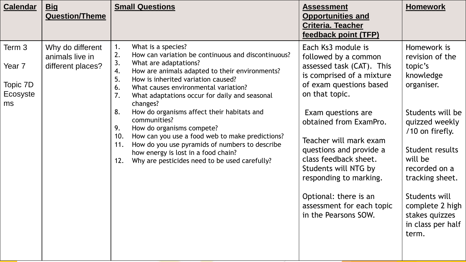| <b>Calendar</b>                                | <b>Big</b><br><b>Question/Theme</b>                      | <b>Small Questions</b>                                                                                                                                                                                                                                                                                                                                                                                                                                                                                                                                                                                                                                            | <b>Assessment</b><br><b>Opportunities and</b><br><b>Criteria. Teacher</b><br>feedback point (TFP)                                                                                                                                                                                                                                                                                                               | <b>Homework</b>                                                                                                                                                                                                                                                                     |
|------------------------------------------------|----------------------------------------------------------|-------------------------------------------------------------------------------------------------------------------------------------------------------------------------------------------------------------------------------------------------------------------------------------------------------------------------------------------------------------------------------------------------------------------------------------------------------------------------------------------------------------------------------------------------------------------------------------------------------------------------------------------------------------------|-----------------------------------------------------------------------------------------------------------------------------------------------------------------------------------------------------------------------------------------------------------------------------------------------------------------------------------------------------------------------------------------------------------------|-------------------------------------------------------------------------------------------------------------------------------------------------------------------------------------------------------------------------------------------------------------------------------------|
| Term 3<br>Year 7<br>Topic 7D<br>Ecosyste<br>ms | Why do different<br>animals live in<br>different places? | What is a species?<br>1.<br>How can variation be continuous and discontinuous?<br>2.<br>3.<br>What are adaptations?<br>How are animals adapted to their environments?<br>4.<br>5.<br>How is inherited variation caused?<br>What causes environmental variation?<br>6.<br>What adaptations occur for daily and seasonal<br>7.<br>changes?<br>How do organisms affect their habitats and<br>8.<br>communities?<br>How do organisms compete?<br>9.<br>How can you use a food web to make predictions?<br>10.<br>How do you use pyramids of numbers to describe<br>11.<br>how energy is lost in a food chain?<br>Why are pesticides need to be used carefully?<br>12. | Each Ks3 module is<br>followed by a common<br>assessed task (CAT). This<br>is comprised of a mixture<br>of exam questions based<br>on that topic.<br>Exam questions are<br>obtained from ExamPro.<br>Teacher will mark exam<br>questions and provide a<br>class feedback sheet.<br>Students will NTG by<br>responding to marking.<br>Optional: there is an<br>assessment for each topic<br>in the Pearsons SOW. | Homework is<br>revision of the<br>topic's<br>knowledge<br>organiser.<br>Students will be<br>quizzed weekly<br>/10 on firefly.<br>Student results<br>will be<br>recorded on a<br>tracking sheet.<br>Students will<br>complete 2 high<br>stakes quizzes<br>in class per half<br>term. |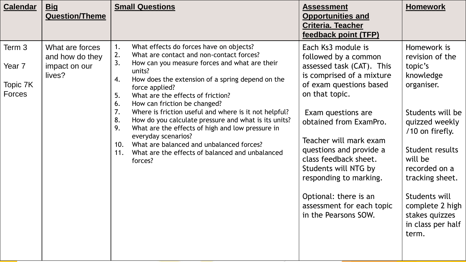| <b>Calendar</b>                               | <b>Big</b><br><b>Question/Theme</b>                           | <b>Small Questions</b>                                                                                                                                                                                                                                                                                                                                                                                                                                                                                                                                                                                                                                              | <b>Assessment</b><br><b>Opportunities and</b><br><b>Criteria. Teacher</b><br>feedback point (TFP)                                                                                                                                                                                                                                                                                                               | <b>Homework</b>                                                                                                                                                                                                                                                                     |
|-----------------------------------------------|---------------------------------------------------------------|---------------------------------------------------------------------------------------------------------------------------------------------------------------------------------------------------------------------------------------------------------------------------------------------------------------------------------------------------------------------------------------------------------------------------------------------------------------------------------------------------------------------------------------------------------------------------------------------------------------------------------------------------------------------|-----------------------------------------------------------------------------------------------------------------------------------------------------------------------------------------------------------------------------------------------------------------------------------------------------------------------------------------------------------------------------------------------------------------|-------------------------------------------------------------------------------------------------------------------------------------------------------------------------------------------------------------------------------------------------------------------------------------|
| Term 3<br>Year 7<br>Topic 7K<br><b>Forces</b> | What are forces<br>and how do they<br>impact on our<br>lives? | What effects do forces have on objects?<br>1.<br>What are contact and non-contact forces?<br>2.<br>How can you measure forces and what are their<br>3.<br>units?<br>How does the extension of a spring depend on the<br>4.<br>force applied?<br>What are the effects of friction?<br>5.<br>How can friction be changed?<br>6.<br>Where is friction useful and where is it not helpful?<br>7.<br>How do you calculate pressure and what is its units?<br>8.<br>What are the effects of high and low pressure in<br>9.<br>everyday scenarios?<br>What are balanced and unbalanced forces?<br>10.<br>What are the effects of balanced and unbalanced<br>11.<br>forces? | Each Ks3 module is<br>followed by a common<br>assessed task (CAT). This<br>is comprised of a mixture<br>of exam questions based<br>on that topic.<br>Exam questions are<br>obtained from ExamPro.<br>Teacher will mark exam<br>questions and provide a<br>class feedback sheet.<br>Students will NTG by<br>responding to marking.<br>Optional: there is an<br>assessment for each topic<br>in the Pearsons SOW. | Homework is<br>revision of the<br>topic's<br>knowledge<br>organiser.<br>Students will be<br>quizzed weekly<br>/10 on firefly.<br>Student results<br>will be<br>recorded on a<br>tracking sheet.<br>Students will<br>complete 2 high<br>stakes quizzes<br>in class per half<br>term. |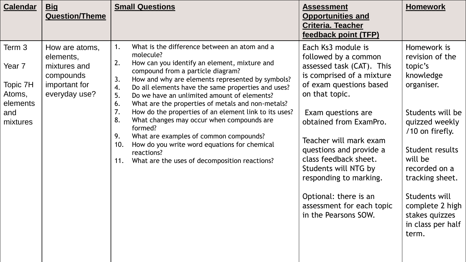| <b>Calendar</b>                                                       | <b>Big</b><br><b>Question/Theme</b>                                                        | <b>Small Questions</b>                                                                                                                                                                                                                                                                                                                                                                                                                                                                                                                                                                                                                                                                                     | <b>Assessment</b><br><b>Opportunities and</b><br><b>Criteria. Teacher</b><br>feedback point (TFP)                                                                                                                                                                                                                                                                                                               | <b>Homework</b>                                                                                                                                                                                                                                                                     |
|-----------------------------------------------------------------------|--------------------------------------------------------------------------------------------|------------------------------------------------------------------------------------------------------------------------------------------------------------------------------------------------------------------------------------------------------------------------------------------------------------------------------------------------------------------------------------------------------------------------------------------------------------------------------------------------------------------------------------------------------------------------------------------------------------------------------------------------------------------------------------------------------------|-----------------------------------------------------------------------------------------------------------------------------------------------------------------------------------------------------------------------------------------------------------------------------------------------------------------------------------------------------------------------------------------------------------------|-------------------------------------------------------------------------------------------------------------------------------------------------------------------------------------------------------------------------------------------------------------------------------------|
| Term 3<br>Year 7<br>Topic 7H<br>Atoms,<br>elements<br>and<br>mixtures | How are atoms,<br>elements,<br>mixtures and<br>compounds<br>important for<br>everyday use? | What is the difference between an atom and a<br>1.<br>molecule?<br>2.<br>How can you identify an element, mixture and<br>compound from a particle diagram?<br>3.<br>How and why are elements represented by symbols?<br>Do all elements have the same properties and uses?<br>4.<br>5.<br>Do we have an unlimited amount of elements?<br>6.<br>What are the properties of metals and non-metals?<br>7.<br>How do the properties of an element link to its uses?<br>8.<br>What changes may occur when compounds are<br>formed?<br>9.<br>What are examples of common compounds?<br>How do you write word equations for chemical<br>10.<br>reactions?<br>What are the uses of decomposition reactions?<br>11. | Each Ks3 module is<br>followed by a common<br>assessed task (CAT). This<br>is comprised of a mixture<br>of exam questions based<br>on that topic.<br>Exam questions are<br>obtained from ExamPro.<br>Teacher will mark exam<br>questions and provide a<br>class feedback sheet.<br>Students will NTG by<br>responding to marking.<br>Optional: there is an<br>assessment for each topic<br>in the Pearsons SOW. | Homework is<br>revision of the<br>topic's<br>knowledge<br>organiser.<br>Students will be<br>quizzed weekly<br>/10 on firefly.<br>Student results<br>will be<br>recorded on a<br>tracking sheet.<br>Students will<br>complete 2 high<br>stakes quizzes<br>in class per half<br>term. |